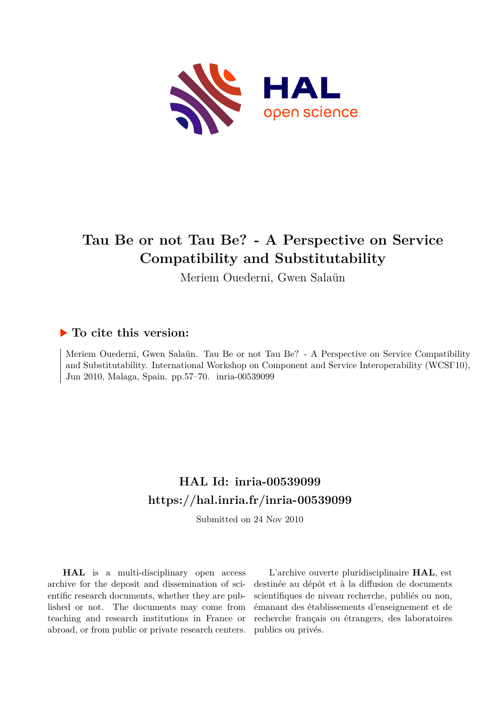

# **Tau Be or not Tau Be? - A Perspective on Service Compatibility and Substitutability**

Meriem Ouederni, Gwen Salaün

## **To cite this version:**

Meriem Ouederni, Gwen Salaün. Tau Be or not Tau Be? - A Perspective on Service Compatibility and Substitutability. International Workshop on Component and Service Interoperability (WCSI'10), Jun 2010, Malaga, Spain. pp.57-70. inria-00539099

## **HAL Id: inria-00539099 <https://hal.inria.fr/inria-00539099>**

Submitted on 24 Nov 2010

**HAL** is a multi-disciplinary open access archive for the deposit and dissemination of scientific research documents, whether they are published or not. The documents may come from teaching and research institutions in France or abroad, or from public or private research centers.

L'archive ouverte pluridisciplinaire **HAL**, est destinée au dépôt et à la diffusion de documents scientifiques de niveau recherche, publiés ou non, émanant des établissements d'enseignement et de recherche français ou étrangers, des laboratoires publics ou privés.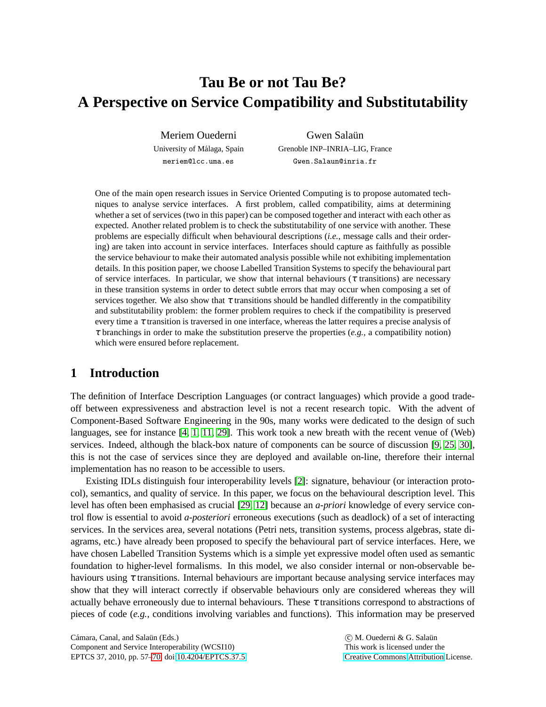# **Tau Be or not Tau Be? A Perspective on Service Compatibility and Substitutability**

Meriem Ouederni University of Málaga, Spain meriem@lcc.uma.es

Gwen Salaün Grenoble INP–INRIA–LIG, France Gwen.Salaun@inria.fr

One of the main open research issues in Service Oriented Computing is to propose automated techniques to analyse service interfaces. A first problem, called compatibility, aims at determining whether a set of services (two in this paper) can be composed together and interact with each other as expected. Another related problem is to check the substitutability of one service with another. These problems are especially difficult when behavioural descriptions (*i.e.*, message calls and their ordering) are taken into account in service interfaces. Interfaces should capture as faithfully as possible the service behaviour to make their automated analysis possible while not exhibiting implementation details. In this position paper, we choose Labelled Transition Systems to specify the behavioural part of service interfaces. In particular, we show that internal behaviours ( $\tau$  transitions) are necessary in these transition systems in order to detect subtle errors that may occur when composing a set of services together. We also show that  $\tau$  transitions should be handled differently in the compatibility and substitutability problem: the former problem requires to check if the compatibility is preserved every time a  $\tau$  transition is traversed in one interface, whereas the latter requires a precise analysis of <sup>τ</sup> branchings in order to make the substitution preserve the properties (*e.g.*, a compatibility notion) which were ensured before replacement.

## **1 Introduction**

The definition of Interface Description Languages (or contract languages) which provide a good tradeoff between expressiveness and abstraction level is not a recent research topic. With the advent of Component-Based Software Engineering in the 90s, many works were dedicated to the design of such languages, see for instance [\[4,](#page-12-0) [1,](#page-12-1) [11,](#page-13-0) [29\]](#page-14-1). This work took a new breath with the recent venue of (Web) services. Indeed, although the black-box nature of components can be source of discussion [\[9,](#page-13-1) [25,](#page-13-2) [30\]](#page-14-2), this is not the case of services since they are deployed and available on-line, therefore their internal implementation has no reason to be accessible to users.

Existing IDLs distinguish four interoperability levels [\[2\]](#page-12-2): signature, behaviour (or interaction protocol), semantics, and quality of service. In this paper, we focus on the behavioural description level. This level has often been emphasised as crucial [\[29,](#page-14-1) [12\]](#page-13-3) because an *a-priori* knowledge of every service control flow is essential to avoid *a-posteriori* erroneous executions (such as deadlock) of a set of interacting services. In the services area, several notations (Petri nets, transition systems, process algebras, state diagrams, etc.) have already been proposed to specify the behavioural part of service interfaces. Here, we have chosen Labelled Transition Systems which is a simple yet expressive model often used as semantic foundation to higher-level formalisms. In this model, we also consider internal or non-observable behaviours using  $\tau$  transitions. Internal behaviours are important because analysing service interfaces may show that they will interact correctly if observable behaviours only are considered whereas they will actually behave erroneously due to internal behaviours. These  $\tau$  transitions correspond to abstractions of pieces of code (*e.g.*, conditions involving variables and functions). This information may be preserved

Cámara, Canal, and Salaün (Eds.) Component and Service Interoperability (WCSI10) EPTCS 37, 2010, pp. 57[–70,](#page-14-0) doi[:10.4204/EPTCS.37.5](http://dx.doi.org/10.4204/EPTCS.37.5)

C M. Ouederni & G. Salaün This work is licensed under the [Creative Commons](http://creativecommons.org) [Attribution](http://creativecommons.org/licenses/by/3.0/) License.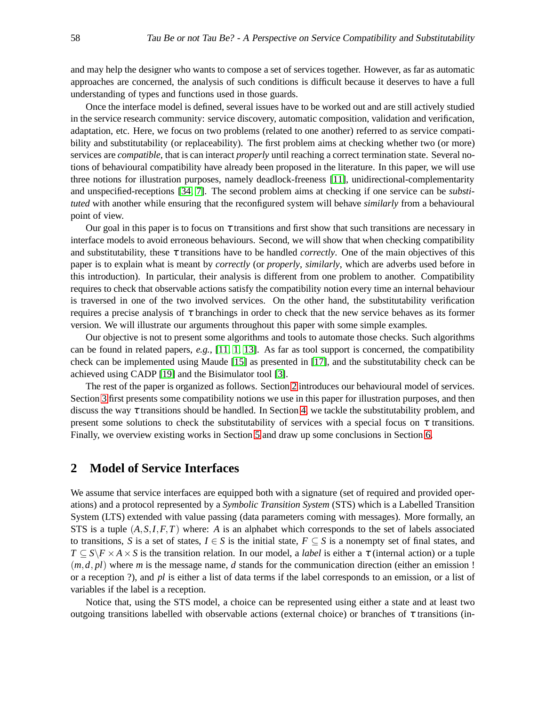and may help the designer who wants to compose a set of services together. However, as far as automatic approaches are concerned, the analysis of such conditions is difficult because it deserves to have a full understanding of types and functions used in those guards.

Once the interface model is defined, several issues have to be worked out and are still actively studied in the service research community: service discovery, automatic composition, validation and verification, adaptation, etc. Here, we focus on two problems (related to one another) referred to as service compatibility and substitutability (or replaceability). The first problem aims at checking whether two (or more) services are *compatible*, that is can interact *properly* until reaching a correct termination state. Several notions of behavioural compatibility have already been proposed in the literature. In this paper, we will use three notions for illustration purposes, namely deadlock-freeness [\[11\]](#page-13-0), unidirectional-complementarity and unspecified-receptions [\[34,](#page-14-3) [7\]](#page-12-3). The second problem aims at checking if one service can be *substituted* with another while ensuring that the reconfigured system will behave *similarly* from a behavioural point of view.

Our goal in this paper is to focus on  $\tau$  transitions and first show that such transitions are necessary in interface models to avoid erroneous behaviours. Second, we will show that when checking compatibility and substitutability, these  $\tau$  transitions have to be handled *correctly*. One of the main objectives of this paper is to explain what is meant by *correctly* (or *properly*, *similarly*, which are adverbs used before in this introduction). In particular, their analysis is different from one problem to another. Compatibility requires to check that observable actions satisfy the compatibility notion every time an internal behaviour is traversed in one of the two involved services. On the other hand, the substitutability verification requires a precise analysis of  $\tau$  branchings in order to check that the new service behaves as its former version. We will illustrate our arguments throughout this paper with some simple examples.

Our objective is not to present some algorithms and tools to automate those checks. Such algorithms can be found in related papers, *e.g.*, [\[11,](#page-13-0) [1,](#page-12-1) [13\]](#page-13-4). As far as tool support is concerned, the compatibility check can be implemented using Maude [\[15\]](#page-13-5) as presented in [\[17\]](#page-13-6), and the substitutability check can be achieved using CADP [\[19\]](#page-13-7) and the Bisimulator tool [\[3\]](#page-12-4).

The rest of the paper is organized as follows. Section [2](#page-2-0) introduces our behavioural model of services. Section [3](#page-4-0) first presents some compatibility notions we use in this paper for illustration purposes, and then discuss the way  $\tau$  transitions should be handled. In Section [4,](#page-8-0) we tackle the substitutability problem, and present some solutions to check the substitutability of services with a special focus on  $\tau$  transitions. Finally, we overview existing works in Section [5](#page-11-0) and draw up some conclusions in Section [6.](#page-12-5)

### <span id="page-2-0"></span>**2 Model of Service Interfaces**

We assume that service interfaces are equipped both with a signature (set of required and provided operations) and a protocol represented by a *Symbolic Transition System* (STS) which is a Labelled Transition System (LTS) extended with value passing (data parameters coming with messages). More formally, an STS is a tuple  $(A, S, I, F, T)$  where: A is an alphabet which corresponds to the set of labels associated to transitions, *S* is a set of states,  $I \in S$  is the initial state,  $F \subseteq S$  is a nonempty set of final states, and  $T \subseteq S \backslash F \times A \times S$  is the transition relation. In our model, a *label* is either a  $\tau$  (internal action) or a tuple  $(m, d, pl)$  where *m* is the message name, *d* stands for the communication direction (either an emission !) or a reception ?), and *pl* is either a list of data terms if the label corresponds to an emission, or a list of variables if the label is a reception.

Notice that, using the STS model, a choice can be represented using either a state and at least two outgoing transitions labelled with observable actions (external choice) or branches of  $\tau$  transitions (in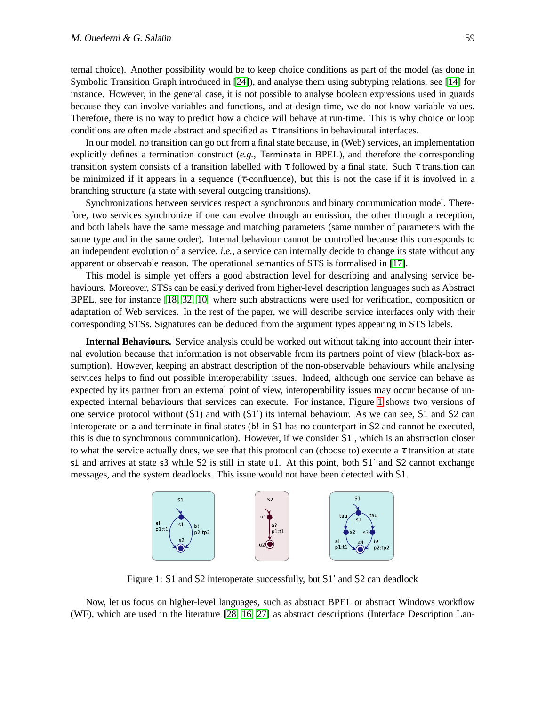ternal choice). Another possibility would be to keep choice conditions as part of the model (as done in Symbolic Transition Graph introduced in [\[24\]](#page-13-8)), and analyse them using subtyping relations, see [\[14\]](#page-13-9) for instance. However, in the general case, it is not possible to analyse boolean expressions used in guards because they can involve variables and functions, and at design-time, we do not know variable values. Therefore, there is no way to predict how a choice will behave at run-time. This is why choice or loop conditions are often made abstract and specified as  $\tau$  transitions in behavioural interfaces.

In our model, no transition can go out from a final state because, in (Web) services, an implementation explicitly defines a termination construct (*e.g.*, Terminate in BPEL), and therefore the corresponding transition system consists of a transition labelled with  $\tau$  followed by a final state. Such  $\tau$  transition can be minimized if it appears in a sequence ( $\tau$ -confluence), but this is not the case if it is involved in a branching structure (a state with several outgoing transitions).

Synchronizations between services respect a synchronous and binary communication model. Therefore, two services synchronize if one can evolve through an emission, the other through a reception, and both labels have the same message and matching parameters (same number of parameters with the same type and in the same order). Internal behaviour cannot be controlled because this corresponds to an independent evolution of a service, *i.e.*, a service can internally decide to change its state without any apparent or observable reason. The operational semantics of STS is formalised in [\[17\]](#page-13-6).

This model is simple yet offers a good abstraction level for describing and analysing service behaviours. Moreover, STSs can be easily derived from higher-level description languages such as Abstract BPEL, see for instance [\[18,](#page-13-10) [32,](#page-14-4) [10\]](#page-13-11) where such abstractions were used for verification, composition or adaptation of Web services. In the rest of the paper, we will describe service interfaces only with their corresponding STSs. Signatures can be deduced from the argument types appearing in STS labels.

**Internal Behaviours.** Service analysis could be worked out without taking into account their internal evolution because that information is not observable from its partners point of view (black-box assumption). However, keeping an abstract description of the non-observable behaviours while analysing services helps to find out possible interoperability issues. Indeed, although one service can behave as expected by its partner from an external point of view, interoperability issues may occur because of unexpected internal behaviours that services can execute. For instance, Figure [1](#page-3-0) shows two versions of one service protocol without (S1) and with (S1') its internal behaviour. As we can see, S1 and S2 can interoperate on a and terminate in final states (b! in S1 has no counterpart in S2 and cannot be executed, this is due to synchronous communication). However, if we consider S1', which is an abstraction closer to what the service actually does, we see that this protocol can (choose to) execute a  $\tau$  transition at state s1 and arrives at state s3 while S2 is still in state u1. At this point, both S1' and S2 cannot exchange messages, and the system deadlocks. This issue would not have been detected with S1.



<span id="page-3-0"></span>Figure 1: S1 and S2 interoperate successfully, but S1' and S2 can deadlock

Now, let us focus on higher-level languages, such as abstract BPEL or abstract Windows workflow (WF), which are used in the literature [\[28,](#page-13-12) [16,](#page-13-13) [27\]](#page-13-14) as abstract descriptions (Interface Description Lan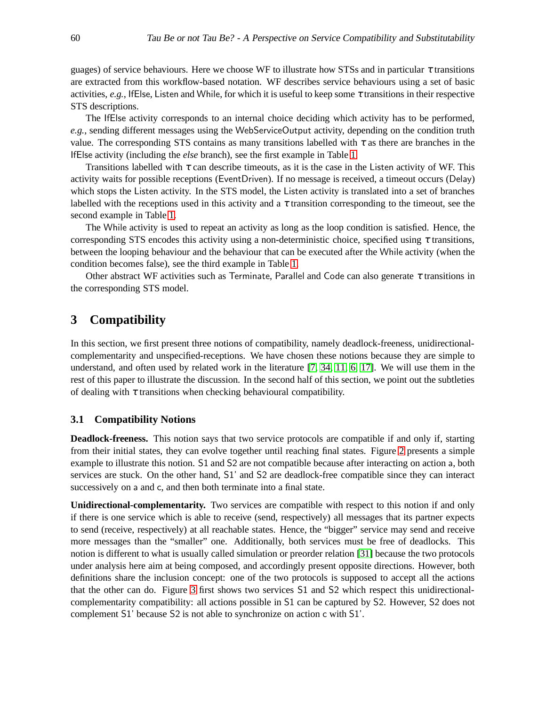guages) of service behaviours. Here we choose WF to illustrate how STSs and in particular  $\tau$  transitions are extracted from this workflow-based notation. WF describes service behaviours using a set of basic activities, *e.g.*, IfElse, Listen and While, for which it is useful to keep some  $\tau$  transitions in their respective STS descriptions.

The IfElse activity corresponds to an internal choice deciding which activity has to be performed, *e.g.*, sending different messages using the WebServiceOutput activity, depending on the condition truth value. The corresponding STS contains as many transitions labelled with  $\tau$  as there are branches in the IfElse activity (including the *else* branch), see the first example in Table [1.](#page-5-0)

Transitions labelled with  $\tau$  can describe timeouts, as it is the case in the Listen activity of WF. This activity waits for possible receptions (EventDriven). If no message is received, a timeout occurs (Delay) which stops the Listen activity. In the STS model, the Listen activity is translated into a set of branches labelled with the receptions used in this activity and a  $\tau$  transition corresponding to the timeout, see the second example in Table [1.](#page-5-0)

The While activity is used to repeat an activity as long as the loop condition is satisfied. Hence, the corresponding STS encodes this activity using a non-deterministic choice, specified using  $\tau$  transitions, between the looping behaviour and the behaviour that can be executed after the While activity (when the condition becomes false), see the third example in Table [1.](#page-5-0)

Other abstract WF activities such as Terminate, Parallel and Code can also generate  $\tau$  transitions in the corresponding STS model.

### <span id="page-4-0"></span>**3 Compatibility**

In this section, we first present three notions of compatibility, namely deadlock-freeness, unidirectionalcomplementarity and unspecified-receptions. We have chosen these notions because they are simple to understand, and often used by related work in the literature [\[7,](#page-12-3) [34,](#page-14-3) [11,](#page-13-0) [6,](#page-12-6) [17\]](#page-13-6). We will use them in the rest of this paper to illustrate the discussion. In the second half of this section, we point out the subtleties of dealing with  $\tau$  transitions when checking behavioural compatibility.

#### **3.1 Compatibility Notions**

**Deadlock-freeness.** This notion says that two service protocols are compatible if and only if, starting from their initial states, they can evolve together until reaching final states. Figure [2](#page-6-0) presents a simple example to illustrate this notion. S1 and S2 are not compatible because after interacting on action a, both services are stuck. On the other hand, S1' and S2 are deadlock-free compatible since they can interact successively on a and c, and then both terminate into a final state.

**Unidirectional-complementarity.** Two services are compatible with respect to this notion if and only if there is one service which is able to receive (send, respectively) all messages that its partner expects to send (receive, respectively) at all reachable states. Hence, the "bigger" service may send and receive more messages than the "smaller" one. Additionally, both services must be free of deadlocks. This notion is different to what is usually called simulation or preorder relation [\[31\]](#page-14-5) because the two protocols under analysis here aim at being composed, and accordingly present opposite directions. However, both definitions share the inclusion concept: one of the two protocols is supposed to accept all the actions that the other can do. Figure [3](#page-6-1) first shows two services S1 and S2 which respect this unidirectionalcomplementarity compatibility: all actions possible in S1 can be captured by S2. However, S2 does not complement S1' because S2 is not able to synchronize on action c with S1'.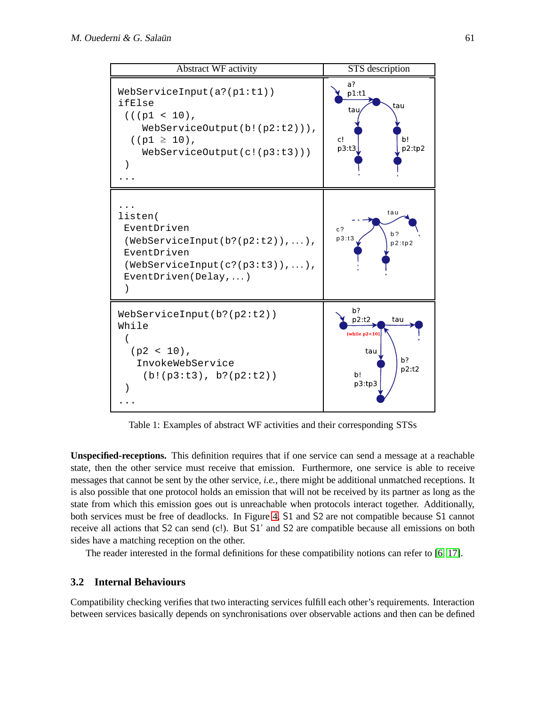

<span id="page-5-0"></span>Table 1: Examples of abstract WF activities and their corresponding STSs

**Unspecified-receptions.** This definition requires that if one service can send a message at a reachable state, then the other service must receive that emission. Furthermore, one service is able to receive messages that cannot be sent by the other service, *i.e.*, there might be additional unmatched receptions. It is also possible that one protocol holds an emission that will not be received by its partner as long as the state from which this emission goes out is unreachable when protocols interact together. Additionally, both services must be free of deadlocks. In Figure [4,](#page-6-2) S1 and S2 are not compatible because S1 cannot receive all actions that S2 can send (c!). But S1' and S2 are compatible because all emissions on both sides have a matching reception on the other.

The reader interested in the formal definitions for these compatibility notions can refer to [\[6,](#page-12-6) [17\]](#page-13-6).

#### <span id="page-5-1"></span>**3.2 Internal Behaviours**

Compatibility checking verifies that two interacting services fulfill each other's requirements. Interaction between services basically depends on synchronisations over observable actions and then can be defined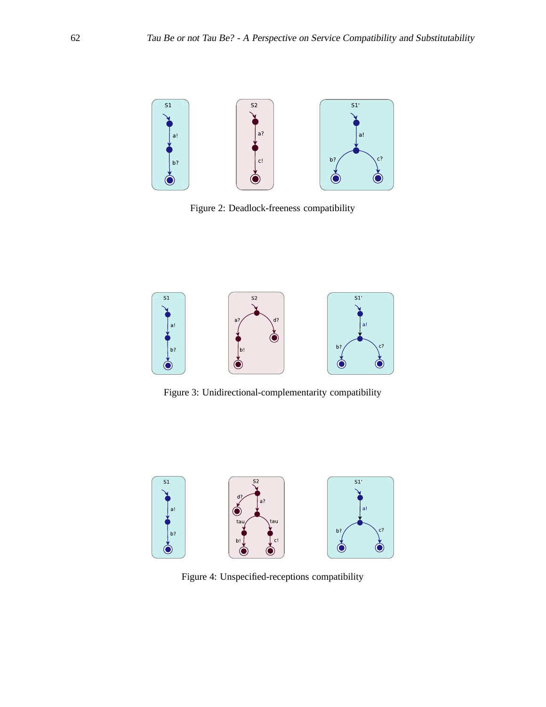

<span id="page-6-0"></span>Figure 2: Deadlock-freeness compatibility



<span id="page-6-1"></span>Figure 3: Unidirectional-complementarity compatibility



<span id="page-6-2"></span>Figure 4: Unspecified-receptions compatibility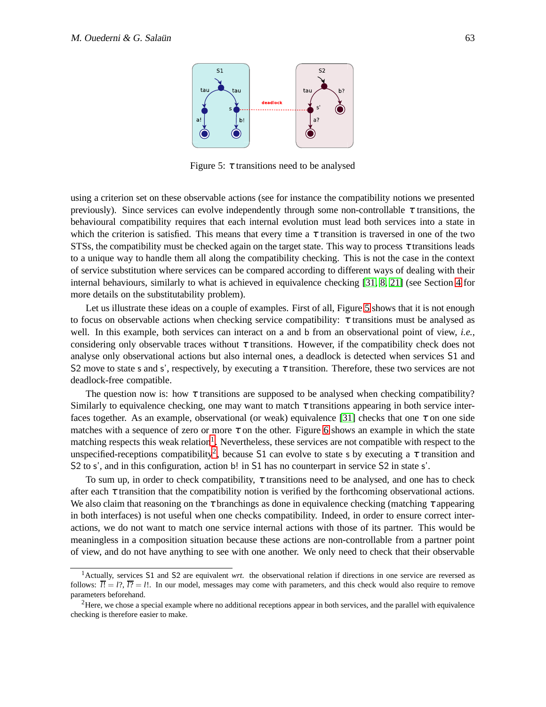

<span id="page-7-0"></span>Figure 5:  $\tau$  transitions need to be analysed

using a criterion set on these observable actions (see for instance the compatibility notions we presented previously). Since services can evolve independently through some non-controllable  $\tau$  transitions, the behavioural compatibility requires that each internal evolution must lead both services into a state in which the criterion is satisfied. This means that every time a  $\tau$  transition is traversed in one of the two STSs, the compatibility must be checked again on the target state. This way to process  $\tau$  transitions leads to a unique way to handle them all along the compatibility checking. This is not the case in the context of service substitution where services can be compared according to different ways of dealing with their internal behaviours, similarly to what is achieved in equivalence checking [\[31,](#page-14-5) [8,](#page-13-15) [21\]](#page-13-16) (see Section [4](#page-8-0) for more details on the substitutability problem).

Let us illustrate these ideas on a couple of examples. First of all, Figure [5](#page-7-0) shows that it is not enough to focus on observable actions when checking service compatibility:  $\tau$  transitions must be analysed as well. In this example, both services can interact on a and b from an observational point of view, *i.e.*, considering only observable traces without  $\tau$  transitions. However, if the compatibility check does not analyse only observational actions but also internal ones, a deadlock is detected when services S1 and S2 move to state s and s', respectively, by executing a  $\tau$  transition. Therefore, these two services are not deadlock-free compatible.

The question now is: how  $\tau$  transitions are supposed to be analysed when checking compatibility? Similarly to equivalence checking, one may want to match  $\tau$  transitions appearing in both service inter-faces together. As an example, observational (or weak) equivalence [\[31\]](#page-14-5) checks that one  $\tau$  on one side matches with a sequence of zero or more  $\tau$  on the other. Figure [6](#page-8-1) shows an example in which the state matching respects this weak relation<sup>[1](#page-7-1)</sup>. Nevertheless, these services are not compatible with respect to the unspecified-receptions compatibility<sup>[2](#page-7-2)</sup>, because S1 can evolve to state s by executing a  $\tau$  transition and S2 to s', and in this configuration, action b! in S1 has no counterpart in service S2 in state s'.

To sum up, in order to check compatibility,  $\tau$  transitions need to be analysed, and one has to check after each  $\tau$  transition that the compatibility notion is verified by the forthcoming observational actions. We also claim that reasoning on the  $\tau$  branchings as done in equivalence checking (matching  $\tau$  appearing in both interfaces) is not useful when one checks compatibility. Indeed, in order to ensure correct interactions, we do not want to match one service internal actions with those of its partner. This would be meaningless in a composition situation because these actions are non-controllable from a partner point of view, and do not have anything to see with one another. We only need to check that their observable

<span id="page-7-1"></span><sup>1</sup>Actually, services S1 and S2 are equivalent *wrt.* the observational relation if directions in one service are reversed as follows:  $\overline{l!} = l$ ?,  $\overline{l?} = l!$ . In our model, messages may come with parameters, and this check would also require to remove parameters beforehand.

<span id="page-7-2"></span><sup>&</sup>lt;sup>2</sup>Here, we chose a special example where no additional receptions appear in both services, and the parallel with equivalence checking is therefore easier to make.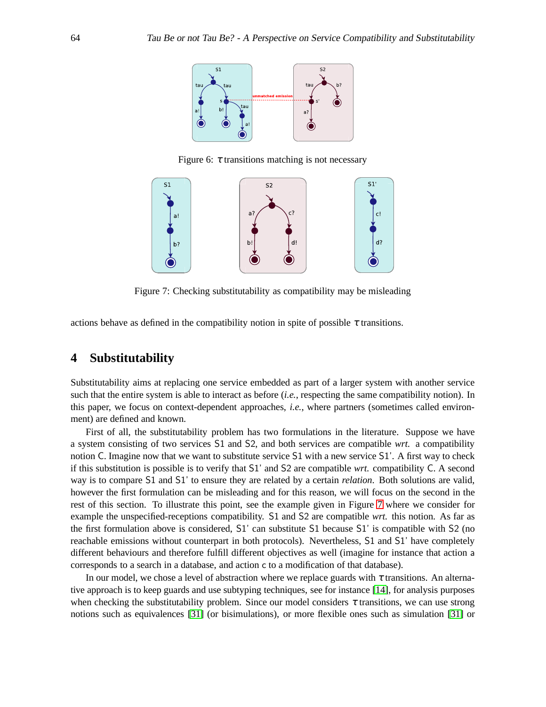

<span id="page-8-1"></span>Figure 6:  $\tau$  transitions matching is not necessary



<span id="page-8-2"></span>Figure 7: Checking substitutability as compatibility may be misleading

actions behave as defined in the compatibility notion in spite of possible  $\tau$  transitions.

## <span id="page-8-0"></span>**4 Substitutability**

Substitutability aims at replacing one service embedded as part of a larger system with another service such that the entire system is able to interact as before *(i.e.*, respecting the same compatibility notion). In this paper, we focus on context-dependent approaches, *i.e.*, where partners (sometimes called environment) are defined and known.

First of all, the substitutability problem has two formulations in the literature. Suppose we have a system consisting of two services S1 and S2, and both services are compatible *wrt.* a compatibility notion C. Imagine now that we want to substitute service S1 with a new service S1'. A first way to check if this substitution is possible is to verify that S1' and S2 are compatible *wrt.* compatibility C. A second way is to compare S1 and S1' to ensure they are related by a certain *relation*. Both solutions are valid, however the first formulation can be misleading and for this reason, we will focus on the second in the rest of this section. To illustrate this point, see the example given in Figure [7](#page-8-2) where we consider for example the unspecified-receptions compatibility. S1 and S2 are compatible *wrt.* this notion. As far as the first formulation above is considered, S1' can substitute S1 because S1' is compatible with S2 (no reachable emissions without counterpart in both protocols). Nevertheless, S1 and S1' have completely different behaviours and therefore fulfill different objectives as well (imagine for instance that action a corresponds to a search in a database, and action c to a modification of that database).

In our model, we chose a level of abstraction where we replace guards with  $\tau$  transitions. An alternative approach is to keep guards and use subtyping techniques, see for instance [\[14\]](#page-13-9), for analysis purposes when checking the substitutability problem. Since our model considers  $\tau$  transitions, we can use strong notions such as equivalences [\[31\]](#page-14-5) (or bisimulations), or more flexible ones such as simulation [\[31\]](#page-14-5) or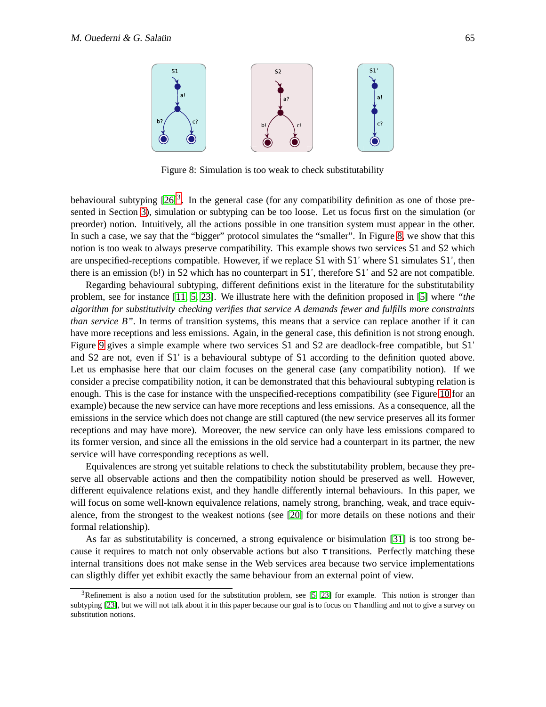

<span id="page-9-1"></span>Figure 8: Simulation is too weak to check substitutability

behavioural subtyping  $[26]$ <sup>[3](#page-9-0)</sup>. In the general case (for any compatibility definition as one of those presented in Section [3\)](#page-4-0), simulation or subtyping can be too loose. Let us focus first on the simulation (or preorder) notion. Intuitively, all the actions possible in one transition system must appear in the other. In such a case, we say that the "bigger" protocol simulates the "smaller". In Figure [8,](#page-9-1) we show that this notion is too weak to always preserve compatibility. This example shows two services S1 and S2 which are unspecified-receptions compatible. However, if we replace S1 with S1' where S1 simulates S1', then there is an emission (b!) in S2 which has no counterpart in S1', therefore S1' and S2 are not compatible.

Regarding behavioural subtyping, different definitions exist in the literature for the substitutability problem, see for instance [\[11,](#page-13-0) [5,](#page-12-7) [23\]](#page-13-18). We illustrate here with the definition proposed in [\[5\]](#page-12-7) where *"the algorithm for substitutivity checking verifies that service A demands fewer and fulfills more constraints than service B"*. In terms of transition systems, this means that a service can replace another if it can have more receptions and less emissions. Again, in the general case, this definition is not strong enough. Figure [9](#page-10-0) gives a simple example where two services S1 and S2 are deadlock-free compatible, but S1' and S2 are not, even if S1' is a behavioural subtype of S1 according to the definition quoted above. Let us emphasise here that our claim focuses on the general case (any compatibility notion). If we consider a precise compatibility notion, it can be demonstrated that this behavioural subtyping relation is enough. This is the case for instance with the unspecified-receptions compatibility (see Figure [10](#page-10-1) for an example) because the new service can have more receptions and less emissions. As a consequence, all the emissions in the service which does not change are still captured (the new service preserves all its former receptions and may have more). Moreover, the new service can only have less emissions compared to its former version, and since all the emissions in the old service had a counterpart in its partner, the new service will have corresponding receptions as well.

Equivalences are strong yet suitable relations to check the substitutability problem, because they preserve all observable actions and then the compatibility notion should be preserved as well. However, different equivalence relations exist, and they handle differently internal behaviours. In this paper, we will focus on some well-known equivalence relations, namely strong, branching, weak, and trace equivalence, from the strongest to the weakest notions (see [\[20\]](#page-13-19) for more details on these notions and their formal relationship).

As far as substitutability is concerned, a strong equivalence or bisimulation [\[31\]](#page-14-5) is too strong because it requires to match not only observable actions but also  $\tau$  transitions. Perfectly matching these internal transitions does not make sense in the Web services area because two service implementations can sligthly differ yet exhibit exactly the same behaviour from an external point of view.

<span id="page-9-0"></span> $3$ Refinement is also a notion used for the substitution problem, see [\[5,](#page-12-7) [23\]](#page-13-18) for example. This notion is stronger than subtyping [\[23\]](#page-13-18), but we will not talk about it in this paper because our goal is to focus on  $\tau$  handling and not to give a survey on substitution notions.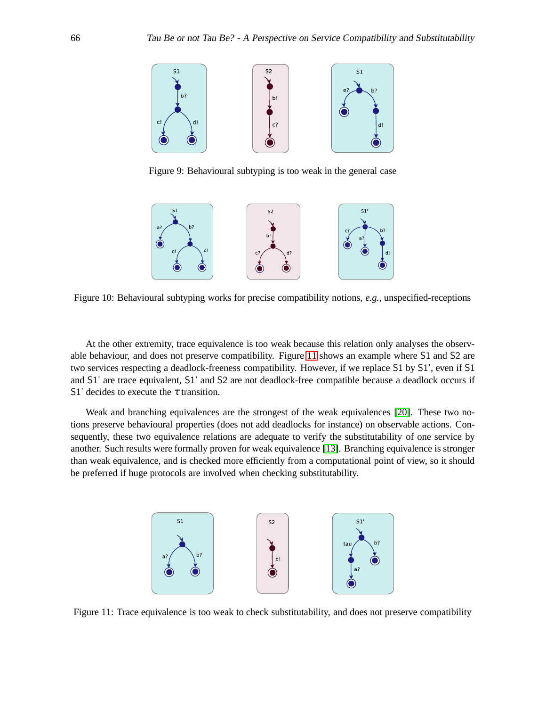

Figure 9: Behavioural subtyping is too weak in the general case

<span id="page-10-0"></span>

<span id="page-10-1"></span>Figure 10: Behavioural subtyping works for precise compatibility notions, *e.g.*, unspecified-receptions

At the other extremity, trace equivalence is too weak because this relation only analyses the observable behaviour, and does not preserve compatibility. Figure [11](#page-10-2) shows an example where S1 and S2 are two services respecting a deadlock-freeness compatibility. However, if we replace S1 by S1', even if S1 and S1' are trace equivalent, S1' and S2 are not deadlock-free compatible because a deadlock occurs if S1' decides to execute the  $\tau$  transition.

Weak and branching equivalences are the strongest of the weak equivalences [\[20\]](#page-13-19). These two notions preserve behavioural properties (does not add deadlocks for instance) on observable actions. Consequently, these two equivalence relations are adequate to verify the substitutability of one service by another. Such results were formally proven for weak equivalence [\[13\]](#page-13-4). Branching equivalence is stronger than weak equivalence, and is checked more efficiently from a computational point of view, so it should be preferred if huge protocols are involved when checking substitutability.



<span id="page-10-2"></span>Figure 11: Trace equivalence is too weak to check substitutability, and does not preserve compatibility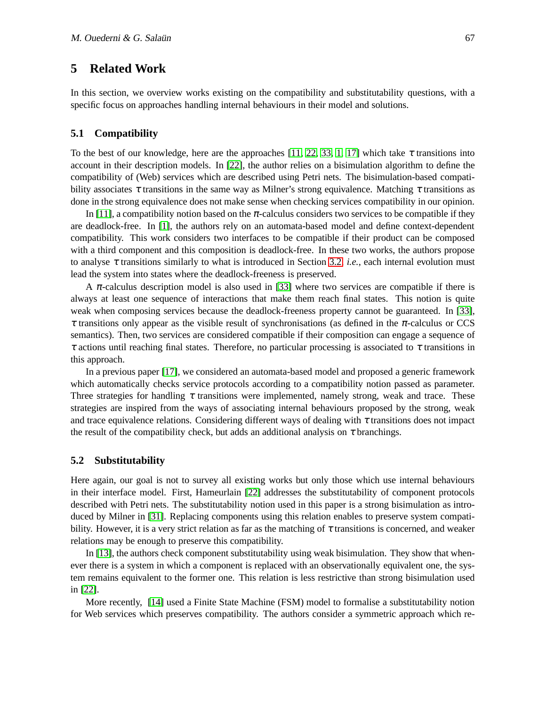## <span id="page-11-0"></span>**5 Related Work**

In this section, we overview works existing on the compatibility and substitutability questions, with a specific focus on approaches handling internal behaviours in their model and solutions.

#### **5.1 Compatibility**

To the best of our knowledge, here are the approaches [\[11,](#page-13-0) [22,](#page-13-20) [33,](#page-14-6) [1,](#page-12-1) [17\]](#page-13-6) which take  $\tau$  transitions into account in their description models. In [\[22\]](#page-13-20), the author relies on a bisimulation algorithm to define the compatibility of (Web) services which are described using Petri nets. The bisimulation-based compatibility associates  $\tau$  transitions in the same way as Milner's strong equivalence. Matching  $\tau$  transitions as done in the strong equivalence does not make sense when checking services compatibility in our opinion.

In [\[11\]](#page-13-0), a compatibility notion based on the  $\pi$ -calculus considers two services to be compatible if they are deadlock-free. In [\[1\]](#page-12-1), the authors rely on an automata-based model and define context-dependent compatibility. This work considers two interfaces to be compatible if their product can be composed with a third component and this composition is deadlock-free. In these two works, the authors propose to analyse  $\tau$  transitions similarly to what is introduced in Section [3.2,](#page-5-1) *i.e.*, each internal evolution must lead the system into states where the deadlock-freeness is preserved.

A  $\pi$ -calculus description model is also used in [\[33\]](#page-14-6) where two services are compatible if there is always at least one sequence of interactions that make them reach final states. This notion is quite weak when composing services because the deadlock-freeness property cannot be guaranteed. In [\[33\]](#page-14-6),  $\tau$  transitions only appear as the visible result of synchronisations (as defined in the  $\pi$ -calculus or CCS semantics). Then, two services are considered compatible if their composition can engage a sequence of  $\tau$  actions until reaching final states. Therefore, no particular processing is associated to  $\tau$  transitions in this approach.

In a previous paper [\[17\]](#page-13-6), we considered an automata-based model and proposed a generic framework which automatically checks service protocols according to a compatibility notion passed as parameter. Three strategies for handling  $\tau$  transitions were implemented, namely strong, weak and trace. These strategies are inspired from the ways of associating internal behaviours proposed by the strong, weak and trace equivalence relations. Considering different ways of dealing with  $\tau$  transitions does not impact the result of the compatibility check, but adds an additional analysis on  $\tau$  branchings.

#### **5.2 Substitutability**

Here again, our goal is not to survey all existing works but only those which use internal behaviours in their interface model. First, Hameurlain [\[22\]](#page-13-20) addresses the substitutability of component protocols described with Petri nets. The substitutability notion used in this paper is a strong bisimulation as introduced by Milner in [\[31\]](#page-14-5). Replacing components using this relation enables to preserve system compatibility. However, it is a very strict relation as far as the matching of  $\tau$  transitions is concerned, and weaker relations may be enough to preserve this compatibility.

In [\[13\]](#page-13-4), the authors check component substitutability using weak bisimulation. They show that whenever there is a system in which a component is replaced with an observationally equivalent one, the system remains equivalent to the former one. This relation is less restrictive than strong bisimulation used in [\[22\]](#page-13-20).

More recently, [\[14\]](#page-13-9) used a Finite State Machine (FSM) model to formalise a substitutability notion for Web services which preserves compatibility. The authors consider a symmetric approach which re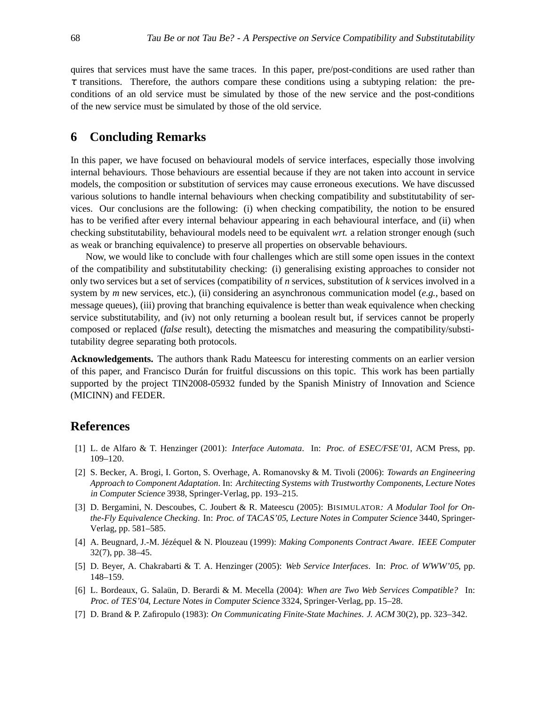quires that services must have the same traces. In this paper, pre/post-conditions are used rather than  $\tau$  transitions. Therefore, the authors compare these conditions using a subtyping relation: the preconditions of an old service must be simulated by those of the new service and the post-conditions of the new service must be simulated by those of the old service.

### <span id="page-12-5"></span>**6 Concluding Remarks**

In this paper, we have focused on behavioural models of service interfaces, especially those involving internal behaviours. Those behaviours are essential because if they are not taken into account in service models, the composition or substitution of services may cause erroneous executions. We have discussed various solutions to handle internal behaviours when checking compatibility and substitutability of services. Our conclusions are the following: (i) when checking compatibility, the notion to be ensured has to be verified after every internal behaviour appearing in each behavioural interface, and (ii) when checking substitutability, behavioural models need to be equivalent *wrt.* a relation stronger enough (such as weak or branching equivalence) to preserve all properties on observable behaviours.

Now, we would like to conclude with four challenges which are still some open issues in the context of the compatibility and substitutability checking: (i) generalising existing approaches to consider not only two services but a set of services (compatibility of *n* services, substitution of *k* services involved in a system by *m* new services, etc.), (ii) considering an asynchronous communication model (*e.g.*, based on message queues), (iii) proving that branching equivalence is better than weak equivalence when checking service substitutability, and (iv) not only returning a boolean result but, if services cannot be properly composed or replaced (*false* result), detecting the mismatches and measuring the compatibility/substitutability degree separating both protocols.

**Acknowledgements.** The authors thank Radu Mateescu for interesting comments on an earlier version of this paper, and Francisco Dur´an for fruitful discussions on this topic. This work has been partially supported by the project TIN2008-05932 funded by the Spanish Ministry of Innovation and Science (MICINN) and FEDER.

## <span id="page-12-1"></span>**References**

- [1] L. de Alfaro & T. Henzinger (2001): *Interface Automata*. In: Proc. of ESEC/FSE'01, ACM Press, pp. 109–120.
- <span id="page-12-2"></span>[2] S. Becker, A. Brogi, I. Gorton, S. Overhage, A. Romanovsky & M. Tivoli (2006): *Towards an Engineering Approach to Component Adaptation*. In: Architecting Systems with Trustworthy Components, Lecture Notes in Computer Science 3938, Springer-Verlag, pp. 193–215.
- <span id="page-12-4"></span>[3] D. Bergamini, N. Descoubes, C. Joubert & R. Mateescu (2005): BISIMULATOR*: A Modular Tool for Onthe-Fly Equivalence Checking*. In: Proc. of TACAS'05, Lecture Notes in Computer Science 3440, Springer-Verlag, pp. 581–585.
- <span id="page-12-0"></span>[4] A. Beugnard, J.-M. J´ez´equel & N. Plouzeau (1999): *Making Components Contract Aware*. IEEE Computer 32(7), pp. 38–45.
- <span id="page-12-7"></span>[5] D. Beyer, A. Chakrabarti & T. A. Henzinger (2005): *Web Service Interfaces*. In: Proc. of WWW'05, pp. 148–159.
- <span id="page-12-6"></span>[6] L. Bordeaux, G. Salaün, D. Berardi & M. Mecella (2004): *When are Two Web Services Compatible?* In: Proc. of TES'04, Lecture Notes in Computer Science 3324, Springer-Verlag, pp. 15–28.
- <span id="page-12-3"></span>[7] D. Brand & P. Zafiropulo (1983): *On Communicating Finite-State Machines*. J. ACM 30(2), pp. 323–342.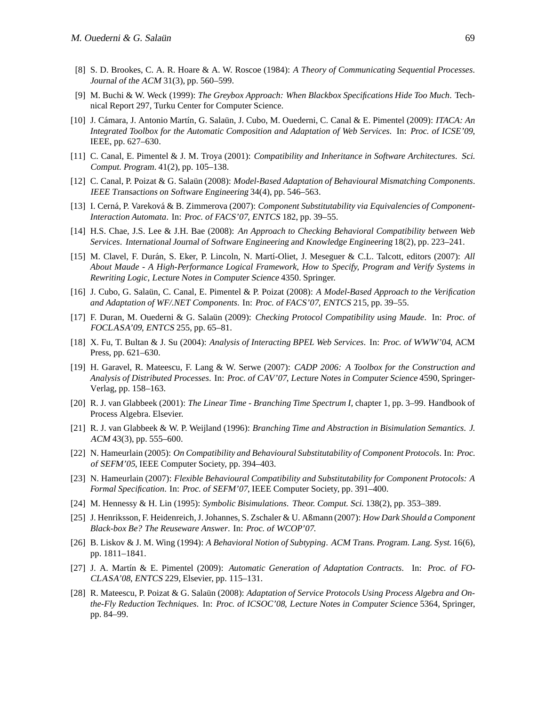- <span id="page-13-15"></span>[8] S. D. Brookes, C. A. R. Hoare & A. W. Roscoe (1984): *A Theory of Communicating Sequential Processes*. Journal of the ACM 31(3), pp. 560–599.
- <span id="page-13-1"></span>[9] M. Buchi & W. Weck (1999): *The Greybox Approach: When Blackbox Specifications Hide Too Much*. Technical Report 297, Turku Center for Computer Science.
- <span id="page-13-11"></span>[10] J. C´amara, J. Antonio Mart´ın, G. Sala¨un, J. Cubo, M. Ouederni, C. Canal & E. Pimentel (2009): *ITACA: An Integrated Toolbox for the Automatic Composition and Adaptation of Web Services*. In: Proc. of ICSE'09, IEEE, pp. 627–630.
- <span id="page-13-0"></span>[11] C. Canal, E. Pimentel & J. M. Troya (2001): *Compatibility and Inheritance in Software Architectures*. Sci. Comput. Program. 41(2), pp. 105–138.
- <span id="page-13-3"></span>[12] C. Canal, P. Poizat & G. Salaün (2008): *Model-Based Adaptation of Behavioural Mismatching Components*. IEEE Transactions on Software Engineering 34(4), pp. 546–563.
- <span id="page-13-4"></span>[13] I. Cerná, P. Vareková & B. Zimmerova (2007): *Component Substitutability via Equivalencies of Component-Interaction Automata*. In: Proc. of FACS'07, ENTCS 182, pp. 39–55.
- <span id="page-13-9"></span>[14] H.S. Chae, J.S. Lee & J.H. Bae (2008): *An Approach to Checking Behavioral Compatibility between Web Services*. International Journal of Software Engineering and Knowledge Engineering 18(2), pp. 223–241.
- <span id="page-13-5"></span>[15] M. Clavel, F. Durán, S. Eker, P. Lincoln, N. Martí-Oliet, J. Meseguer & C.L. Talcott, editors (2007): *All About Maude - A High-Performance Logical Framework, How to Specify, Program and Verify Systems in Rewriting Logic*, Lecture Notes in Computer Science 4350. Springer.
- <span id="page-13-13"></span>[16] J. Cubo, G. Sala¨un, C. Canal, E. Pimentel & P. Poizat (2008): *A Model-Based Approach to the Verification and Adaptation of WF/.NET Components*. In: Proc. of FACS'07, ENTCS 215, pp. 39–55.
- <span id="page-13-6"></span>[17] F. Duran, M. Ouederni & G. Salaün (2009): *Checking Protocol Compatibility using Maude*. In: Proc. of FOCLASA'09, ENTCS 255, pp. 65–81.
- <span id="page-13-10"></span>[18] X. Fu, T. Bultan & J. Su (2004): *Analysis of Interacting BPEL Web Services*. In: Proc. of WWW'04, ACM Press, pp. 621–630.
- <span id="page-13-7"></span>[19] H. Garavel, R. Mateescu, F. Lang & W. Serwe (2007): *CADP 2006: A Toolbox for the Construction and Analysis of Distributed Processes*. In: Proc. of CAV'07, Lecture Notes in Computer Science 4590, Springer-Verlag, pp. 158–163.
- <span id="page-13-19"></span>[20] R. J. van Glabbeek (2001): *The Linear Time - Branching Time Spectrum I*, chapter 1, pp. 3–99. Handbook of Process Algebra. Elsevier.
- <span id="page-13-16"></span>[21] R. J. van Glabbeek & W. P. Weijland (1996): *Branching Time and Abstraction in Bisimulation Semantics*. J. ACM 43(3), pp. 555–600.
- <span id="page-13-20"></span>[22] N. Hameurlain (2005): *On Compatibility and Behavioural Substitutability of Component Protocols*. In: Proc. of SEFM'05, IEEE Computer Society, pp. 394–403.
- <span id="page-13-18"></span>[23] N. Hameurlain (2007): *Flexible Behavioural Compatibility and Substitutability for Component Protocols: A Formal Specification*. In: Proc. of SEFM'07, IEEE Computer Society, pp. 391–400.
- <span id="page-13-8"></span><span id="page-13-2"></span>[24] M. Hennessy & H. Lin (1995): *Symbolic Bisimulations*. Theor. Comput. Sci. 138(2), pp. 353–389.
- [25] J. Henriksson, F. Heidenreich, J. Johannes, S. Zschaler & U. Aßmann (2007): *How Dark Should a Component Black-box Be? The Reuseware Answer*. In: Proc. of WCOP'07.
- <span id="page-13-17"></span>[26] B. Liskov & J. M. Wing (1994): *A Behavioral Notion of Subtyping*. ACM Trans. Program. Lang. Syst. 16(6), pp. 1811–1841.
- <span id="page-13-14"></span>[27] J. A. Martín & E. Pimentel (2009): *Automatic Generation of Adaptation Contracts*. In: Proc. of FO-CLASA'08, ENTCS 229, Elsevier, pp. 115–131.
- <span id="page-13-12"></span>[28] R. Mateescu, P. Poizat & G. Salaün (2008): *Adaptation of Service Protocols Using Process Algebra and Onthe-Fly Reduction Techniques*. In: Proc. of ICSOC'08, Lecture Notes in Computer Science 5364, Springer, pp. 84–99.